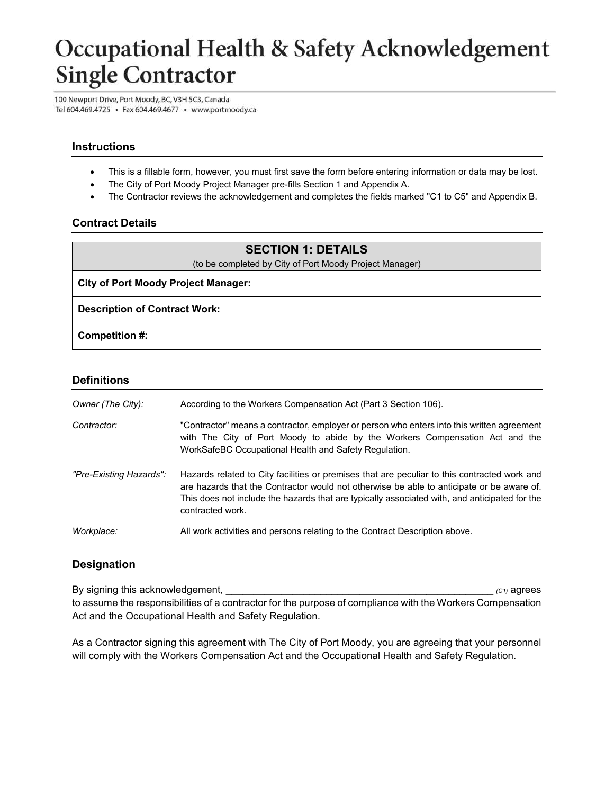# Occupational Health & Safety Acknowledgement Single Contractor

100 Newport Drive, Port Moody, BC, V3H 5C3, Canada Tel 604.469.4725 · Fax 604.469.4677 · www.portmoody.ca

## **Instructions**

- This is a fillable form, however, you must first save the form before entering information or data may be lost.
- The City of Port Moody Project Manager pre-fills Section 1 and Appendix A.
- The Contractor reviews the acknowledgement and completes the fields marked "C1 to C5" and Appendix B.

#### **Contract Details**

| <b>SECTION 1: DETAILS</b>                               |  |  |  |  |  |
|---------------------------------------------------------|--|--|--|--|--|
| (to be completed by City of Port Moody Project Manager) |  |  |  |  |  |
| <b>City of Port Moody Project Manager:</b>              |  |  |  |  |  |
| <b>Description of Contract Work:</b>                    |  |  |  |  |  |
| Competition #:                                          |  |  |  |  |  |

#### **Definitions**

| Owner (The City):       | According to the Workers Compensation Act (Part 3 Section 106).                                                                                                                                                                                                                                                |
|-------------------------|----------------------------------------------------------------------------------------------------------------------------------------------------------------------------------------------------------------------------------------------------------------------------------------------------------------|
| Contractor:             | "Contractor" means a contractor, employer or person who enters into this written agreement<br>with The City of Port Moody to abide by the Workers Compensation Act and the<br>WorkSafeBC Occupational Health and Safety Regulation.                                                                            |
| "Pre-Existing Hazards": | Hazards related to City facilities or premises that are peculiar to this contracted work and<br>are hazards that the Contractor would not otherwise be able to anticipate or be aware of.<br>This does not include the hazards that are typically associated with, and anticipated for the<br>contracted work. |
| Workplace:              | All work activities and persons relating to the Contract Description above.                                                                                                                                                                                                                                    |

#### **Designation**

By signing this acknowledgement, \_\_\_\_\_\_\_\_\_\_\_\_\_\_\_\_\_\_\_\_\_\_\_\_\_\_\_\_\_\_\_\_\_\_\_\_\_\_\_\_\_\_\_\_\_\_\_\_ *(C1)* agrees

to assume the responsibilities of a contractor for the purpose of compliance with the Workers Compensation Act and the Occupational Health and Safety Regulation.

As a Contractor signing this agreement with The City of Port Moody, you are agreeing that your personnel will comply with the Workers Compensation Act and the Occupational Health and Safety Regulation.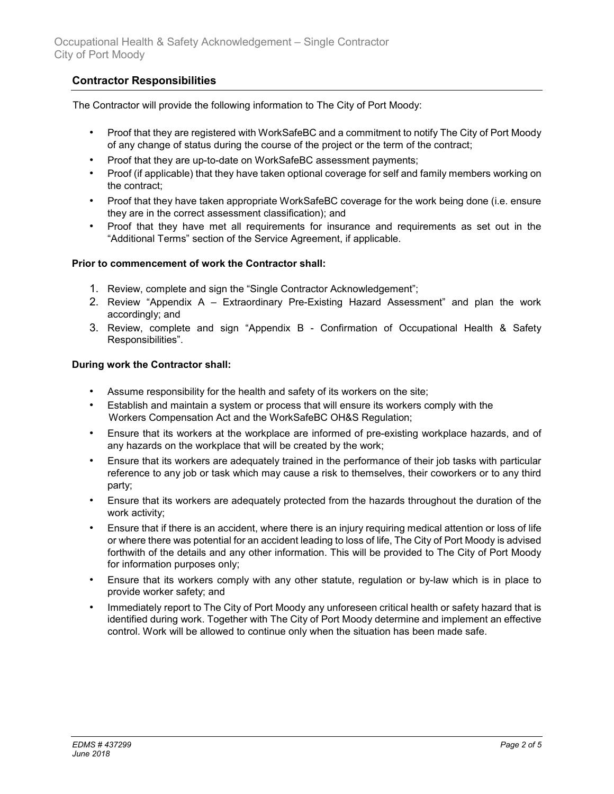# **Contractor Responsibilities**

The Contractor will provide the following information to The City of Port Moody:

- Proof that they are registered with WorkSafeBC and a commitment to notify The City of Port Moody of any change of status during the course of the project or the term of the contract;
- Proof that they are up-to-date on WorkSafeBC assessment payments;
- Proof (if applicable) that they have taken optional coverage for self and family members working on the contract;
- Proof that they have taken appropriate WorkSafeBC coverage for the work being done (i.e. ensure they are in the correct assessment classification); and
- Proof that they have met all requirements for insurance and requirements as set out in the "Additional Terms" section of the Service Agreement, if applicable.

#### **Prior to commencement of work the Contractor shall:**

- 1. Review, complete and sign the "Single Contractor Acknowledgement";
- 2. Review "Appendix A Extraordinary Pre-Existing Hazard Assessment" and plan the work accordingly; and
- 3. Review, complete and sign "Appendix B Confirmation of Occupational Health & Safety Responsibilities".

#### **During work the Contractor shall:**

- Assume responsibility for the health and safety of its workers on the site;
- Establish and maintain a system or process that will ensure its workers comply with the Workers Compensation Act and the WorkSafeBC OH&S Regulation;
- Ensure that its workers at the workplace are informed of pre-existing workplace hazards, and of any hazards on the workplace that will be created by the work;
- Ensure that its workers are adequately trained in the performance of their job tasks with particular reference to any job or task which may cause a risk to themselves, their coworkers or to any third party;
- Ensure that its workers are adequately protected from the hazards throughout the duration of the work activity;
- Ensure that if there is an accident, where there is an injury requiring medical attention or loss of life or where there was potential for an accident leading to loss of life, The City of Port Moody is advised forthwith of the details and any other information. This will be provided to The City of Port Moody for information purposes only;
- Ensure that its workers comply with any other statute, regulation or by-law which is in place to provide worker safety; and
- Immediately report to The City of Port Moody any unforeseen critical health or safety hazard that is identified during work. Together with The City of Port Moody determine and implement an effective control. Work will be allowed to continue only when the situation has been made safe.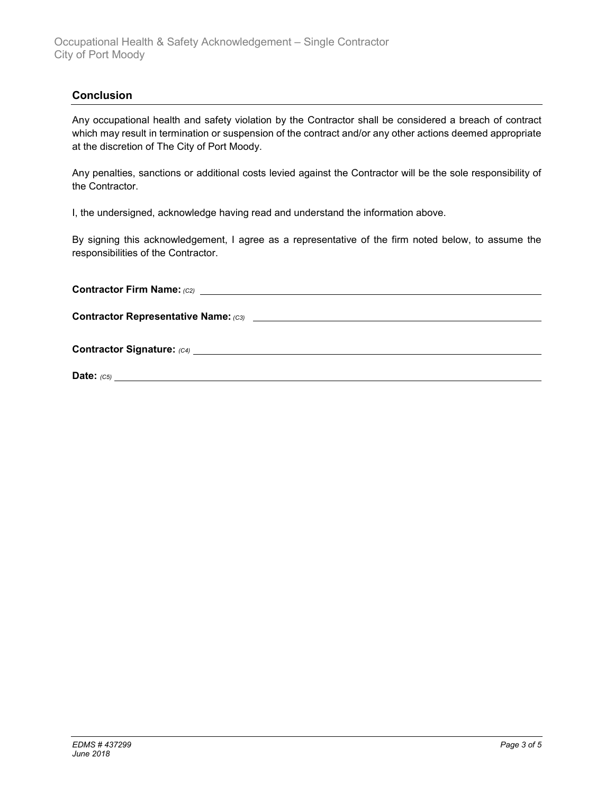## **Conclusion**

Any occupational health and safety violation by the Contractor shall be considered a breach of contract which may result in termination or suspension of the contract and/or any other actions deemed appropriate at the discretion of The City of Port Moody.

Any penalties, sanctions or additional costs levied against the Contractor will be the sole responsibility of the Contractor.

I, the undersigned, acknowledge having read and understand the information above.

By signing this acknowledgement, I agree as a representative of the firm noted below, to assume the responsibilities of the Contractor.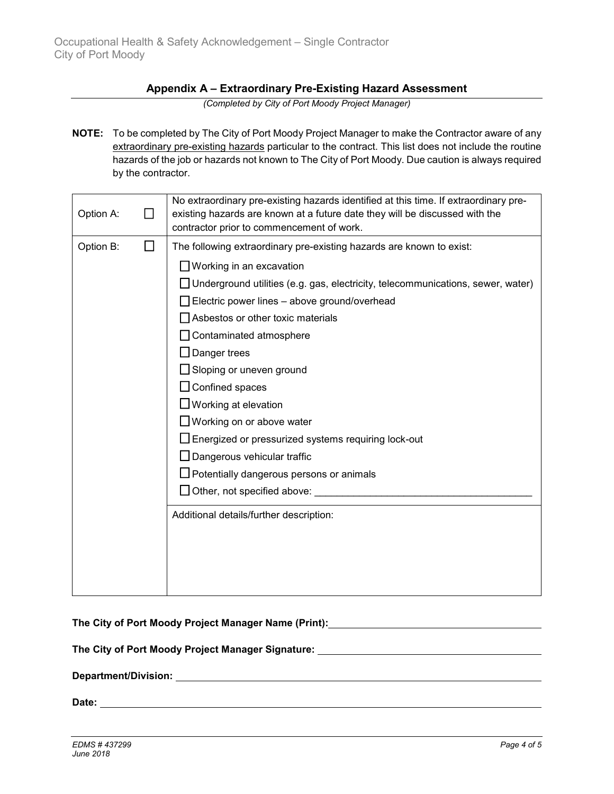## **Appendix A – Extraordinary Pre-Existing Hazard Assessment**

*(Completed by City of Port Moody Project Manager)*

**NOTE:** To be completed by The City of Port Moody Project Manager to make the Contractor aware of any extraordinary pre-existing hazards particular to the contract. This list does not include the routine hazards of the job or hazards not known to The City of Port Moody. Due caution is always required by the contractor.

| Option A: |                                         | No extraordinary pre-existing hazards identified at this time. If extraordinary pre-<br>existing hazards are known at a future date they will be discussed with the<br>contractor prior to commencement of work. |  |
|-----------|-----------------------------------------|------------------------------------------------------------------------------------------------------------------------------------------------------------------------------------------------------------------|--|
| Option B: | ΙI                                      | The following extraordinary pre-existing hazards are known to exist:                                                                                                                                             |  |
|           |                                         | $\Box$ Working in an excavation                                                                                                                                                                                  |  |
|           |                                         | □ Underground utilities (e.g. gas, electricity, telecommunications, sewer, water)                                                                                                                                |  |
|           |                                         | $\Box$ Electric power lines – above ground/overhead                                                                                                                                                              |  |
|           |                                         | Asbestos or other toxic materials                                                                                                                                                                                |  |
|           |                                         | Contaminated atmosphere                                                                                                                                                                                          |  |
|           |                                         | $\Box$ Danger trees                                                                                                                                                                                              |  |
|           |                                         | $\Box$ Sloping or uneven ground                                                                                                                                                                                  |  |
|           |                                         | $\Box$ Confined spaces                                                                                                                                                                                           |  |
|           |                                         | $\Box$ Working at elevation                                                                                                                                                                                      |  |
|           |                                         | $\Box$ Working on or above water                                                                                                                                                                                 |  |
|           |                                         | □ Energized or pressurized systems requiring lock-out                                                                                                                                                            |  |
|           |                                         | $\Box$ Dangerous vehicular traffic                                                                                                                                                                               |  |
|           |                                         | $\Box$ Potentially dangerous persons or animals                                                                                                                                                                  |  |
|           |                                         | $\Box$ Other, not specified above: $\Box$                                                                                                                                                                        |  |
|           | Additional details/further description: |                                                                                                                                                                                                                  |  |
|           |                                         |                                                                                                                                                                                                                  |  |
|           |                                         |                                                                                                                                                                                                                  |  |
|           |                                         |                                                                                                                                                                                                                  |  |
|           |                                         |                                                                                                                                                                                                                  |  |

| The City of Port Moody Project Manager Name (Print): ____________________________ |
|-----------------------------------------------------------------------------------|
| The City of Port Moody Project Manager Signature: ______________________________  |
|                                                                                   |
|                                                                                   |